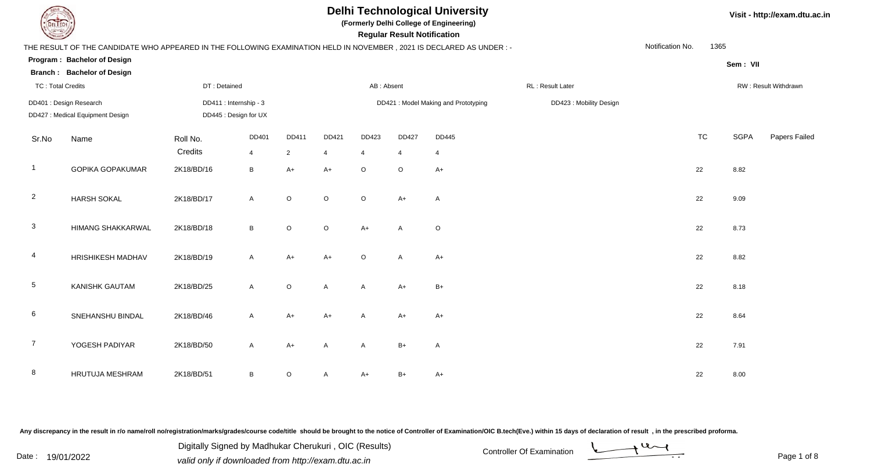**(Formerly Delhi College of Engineering)**

 **Regular Result Notification**

|  | Visit - http://exam.dtu.ac.in |  |
|--|-------------------------------|--|
|--|-------------------------------|--|

| $\overline{\phantom{a}}$ |                                                                                                                      |                     |                        |                |                |                | noguiai nooan nouilloanoll |                                     |                         |                  |           |             |                      |
|--------------------------|----------------------------------------------------------------------------------------------------------------------|---------------------|------------------------|----------------|----------------|----------------|----------------------------|-------------------------------------|-------------------------|------------------|-----------|-------------|----------------------|
|                          | THE RESULT OF THE CANDIDATE WHO APPEARED IN THE FOLLOWING EXAMINATION HELD IN NOVEMBER, 2021 IS DECLARED AS UNDER :- |                     |                        |                |                |                |                            |                                     |                         | Notification No. | 1365      |             |                      |
|                          | Program: Bachelor of Design                                                                                          |                     |                        |                |                |                |                            |                                     |                         |                  |           | Sem: VII    |                      |
|                          | <b>Branch: Bachelor of Design</b>                                                                                    |                     |                        |                |                |                |                            |                                     |                         |                  |           |             |                      |
| <b>TC: Total Credits</b> |                                                                                                                      | DT: Detained        |                        |                |                | AB: Absent     |                            |                                     | RL: Result Later        |                  |           |             | RW: Result Withdrawn |
|                          | DD401 : Design Research                                                                                              |                     | DD411 : Internship - 3 |                |                |                |                            | DD421: Model Making and Prototyping | DD423 : Mobility Design |                  |           |             |                      |
|                          | DD427 : Medical Equipment Design                                                                                     |                     | DD445 : Design for UX  |                |                |                |                            |                                     |                         |                  |           |             |                      |
| Sr.No                    | Name                                                                                                                 | Roll No.<br>Credits | DD401                  | DD411          | DD421          | DD423          | <b>DD427</b>               | DD445                               |                         |                  | <b>TC</b> | <b>SGPA</b> | Papers Failed        |
| $\overline{1}$           |                                                                                                                      |                     | $\overline{4}$         | $\overline{2}$ | $\overline{4}$ | $\overline{4}$ | $\overline{4}$             | 4                                   |                         |                  |           |             |                      |
|                          | <b>GOPIKA GOPAKUMAR</b>                                                                                              | 2K18/BD/16          | B                      | $A+$           | $A+$           | $\circ$        | $\circ$                    | $A+$                                |                         |                  | 22        | 8.82        |                      |
| $\overline{2}$           | <b>HARSH SOKAL</b>                                                                                                   | 2K18/BD/17          | A                      | $\circ$        | $\circ$        | $\circ$        | $A+$                       | $\mathsf{A}$                        |                         |                  | 22        | 9.09        |                      |
| $\mathbf{3}$             | HIMANG SHAKKARWAL                                                                                                    | 2K18/BD/18          | B                      | $\circ$        | $\circ$        | $A+$           | Α                          | $\circ$                             |                         |                  | 22        | 8.73        |                      |
| $\overline{4}$           | HRISHIKESH MADHAV                                                                                                    | 2K18/BD/19          | A                      | $A+$           | $A+$           | $\circ$        | A                          | $A+$                                |                         |                  | 22        | 8.82        |                      |
| $5\phantom{.0}$          | <b>KANISHK GAUTAM</b>                                                                                                | 2K18/BD/25          | A                      | $\circ$        | A              | A              | $A+$                       | $B+$                                |                         |                  | 22        | 8.18        |                      |
| $6\phantom{.}6$          | SNEHANSHU BINDAL                                                                                                     | 2K18/BD/46          | A                      | $A+$           | $A+$           | A              | $A+$                       | $A+$                                |                         |                  | 22        | 8.64        |                      |
| $\overline{7}$           | YOGESH PADIYAR                                                                                                       | 2K18/BD/50          | A                      | $A+$           | A              | A              | $B+$                       | A                                   |                         |                  | 22        | 7.91        |                      |
| 8                        | HRUTUJA MESHRAM                                                                                                      | 2K18/BD/51          | B                      | O              | A              | $A+$           | $B+$                       | $A+$                                |                         |                  | 22        | 8.00        |                      |

Any discrepancy in the result in r/o name/roll no/registration/marks/grades/course code/title should be brought to the notice of Controller of Examination/OIC B.tech(Eve.) within 15 days of declaration of result, in the pr

Date : 19/01/2022<br>
valid only if downloaded from http://exam.dtu.ac.in<br>
Page 1 of Digitally Signed by Madhukar Cherukuri , OIC (Results)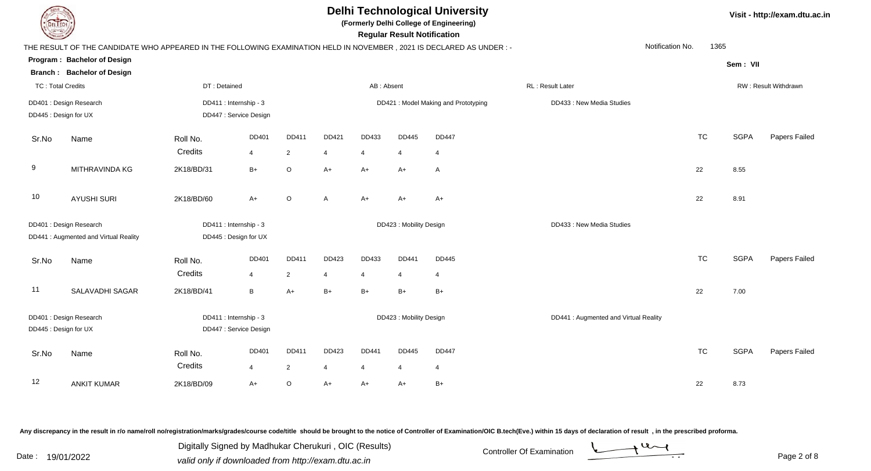| THE RESULT OF THE CANDIDATE WHO APPEARED IN |    |
|---------------------------------------------|----|
| Program: Bachelor of Design                 |    |
| Branch: Bachelor of Design                  |    |
| <b>TC: Total Credits</b>                    | D. |
| DD401: Design Research                      | DI |
| DD445 : Design for UX                       | Dľ |
|                                             |    |

**(Formerly Delhi College of Engineering)**

 **Regular Result Notification**

|                          | THE RESULT OF THE CANDIDATE WHO APPEARED IN THE FOLLOWING EXAMINATION HELD IN NOVEMBER, 2021 IS DECLARED AS UNDER :- |              |                        |                |                |                |                         |                                     |                                       | Notification No. | 1365 |             |                      |
|--------------------------|----------------------------------------------------------------------------------------------------------------------|--------------|------------------------|----------------|----------------|----------------|-------------------------|-------------------------------------|---------------------------------------|------------------|------|-------------|----------------------|
|                          | Program: Bachelor of Design                                                                                          |              |                        |                |                |                |                         |                                     |                                       |                  |      | Sem: VII    |                      |
|                          | <b>Branch: Bachelor of Design</b>                                                                                    |              |                        |                |                |                |                         |                                     |                                       |                  |      |             |                      |
| <b>TC: Total Credits</b> |                                                                                                                      | DT: Detained |                        |                |                | AB: Absent     |                         |                                     | RL: Result Later                      |                  |      |             | RW: Result Withdrawn |
|                          | DD401 : Design Research                                                                                              |              | DD411 : Internship - 3 |                |                |                |                         | DD421: Model Making and Prototyping | DD433 : New Media Studies             |                  |      |             |                      |
|                          | DD445 : Design for UX                                                                                                |              | DD447 : Service Design |                |                |                |                         |                                     |                                       |                  |      |             |                      |
| Sr.No                    | Name                                                                                                                 | Roll No.     | DD401                  | DD411          | DD421          | DD433          | DD445                   | <b>DD447</b>                        |                                       | <b>TC</b>        |      | <b>SGPA</b> | Papers Failed        |
|                          |                                                                                                                      | Credits      | 4                      | $\overline{2}$ | $\overline{4}$ | 4              | $\overline{4}$          | $\overline{4}$                      |                                       |                  |      |             |                      |
| 9                        | MITHRAVINDA KG                                                                                                       | 2K18/BD/31   | $B+$                   | $\circ$        | $A+$           | $A+$           | $A+$                    | A                                   |                                       | 22               |      | 8.55        |                      |
| 10                       | <b>AYUSHI SURI</b>                                                                                                   | 2K18/BD/60   | $A+$                   | O              | $\overline{A}$ | $A+$           | A+                      | $A+$                                |                                       | 22               |      | 8.91        |                      |
|                          | DD401 : Design Research                                                                                              |              | DD411 : Internship - 3 |                |                |                | DD423 : Mobility Design |                                     | DD433 : New Media Studies             |                  |      |             |                      |
|                          | DD441 : Augmented and Virtual Reality                                                                                |              | DD445 : Design for UX  |                |                |                |                         |                                     |                                       |                  |      |             |                      |
| Sr.No                    | Name                                                                                                                 | Roll No.     | DD401                  | DD411          | DD423          | DD433          | DD441                   | <b>DD445</b>                        |                                       | <b>TC</b>        |      | <b>SGPA</b> | Papers Failed        |
|                          |                                                                                                                      | Credits      | $\overline{4}$         | 2              | $\overline{4}$ | 4              | 4                       | 4                                   |                                       |                  |      |             |                      |
| 11                       | SALAVADHI SAGAR                                                                                                      | 2K18/BD/41   | B                      | $A+$           | $B+$           | $B+$           | $B+$                    | $B+$                                |                                       | 22               |      | 7.00        |                      |
|                          | DD401 : Design Research                                                                                              |              | DD411 : Internship - 3 |                |                |                | DD423 : Mobility Design |                                     | DD441 : Augmented and Virtual Reality |                  |      |             |                      |
|                          | DD445 : Design for UX                                                                                                |              | DD447 : Service Design |                |                |                |                         |                                     |                                       |                  |      |             |                      |
| Sr.No                    | Name                                                                                                                 | Roll No.     | DD401                  | <b>DD411</b>   | DD423          | DD441          | DD445                   | <b>DD447</b>                        |                                       | <b>TC</b>        |      | <b>SGPA</b> | Papers Failed        |
|                          |                                                                                                                      | Credits      | $\overline{4}$         | $\overline{2}$ | 4              | $\overline{4}$ | 4                       | 4                                   |                                       |                  |      |             |                      |
| 12                       | <b>ANKIT KUMAR</b>                                                                                                   | 2K18/BD/09   | $A+$                   | $\circ$        | $A+$           | $A+$           | $A+$                    | $B+$                                |                                       | 22               |      | 8.73        |                      |

Any discrepancy in the result in r/o name/roll no/registration/marks/grades/course code/title should be brought to the notice of Controller of Examination/OIC B.tech(Eve.) within 15 days of declaration of result, in the pr

Date : 19/01/2022<br>
valid only if downloaded from http://exam.dtu.ac.in<br>
Page 2 of Digitally Signed by Madhukar Cherukuri , OIC (Results)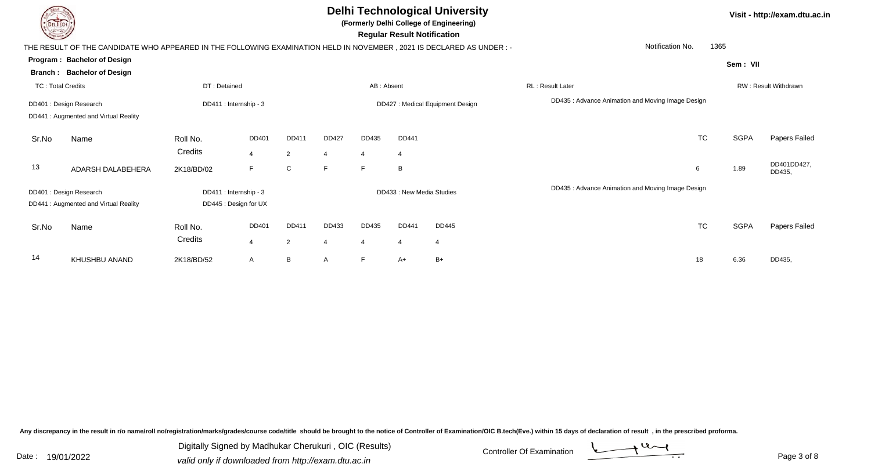**(Formerly Delhi College of Engineering)**

 **Regular Result Notification**

|                          | THE RESULT OF THE CANDIDATE WHO APPEARED IN THE FOLLOWING EXAMINATION HELD IN NOVEMBER , 2021 IS DECLARED AS UNDER :- |                        |                |                |                |                |                          |                                  |                                                  | Notification No. | 1365        |                       |
|--------------------------|-----------------------------------------------------------------------------------------------------------------------|------------------------|----------------|----------------|----------------|----------------|--------------------------|----------------------------------|--------------------------------------------------|------------------|-------------|-----------------------|
|                          | Program: Bachelor of Design                                                                                           |                        |                |                |                |                |                          |                                  |                                                  |                  | Sem: VII    |                       |
|                          | <b>Branch: Bachelor of Design</b>                                                                                     |                        |                |                |                |                |                          |                                  |                                                  |                  |             |                       |
| <b>TC: Total Credits</b> |                                                                                                                       | DT: Detained           |                |                |                | AB: Absent     |                          |                                  | RL: Result Later                                 |                  |             | RW: Result Withdrawn  |
|                          | DD401 : Design Research<br>DD441 : Augmented and Virtual Reality                                                      | DD411 : Internship - 3 |                |                |                |                |                          | DD427 : Medical Equipment Design | DD435: Advance Animation and Moving Image Design |                  |             |                       |
| Sr.No                    | Name                                                                                                                  | Roll No.               | DD401          | DD411          | DD427          | DD435          | DD441                    |                                  |                                                  | <b>TC</b>        | <b>SGPA</b> | Papers Failed         |
|                          |                                                                                                                       | Credits                | $\overline{4}$ | $\overline{2}$ | $\overline{4}$ | $\overline{4}$ | $\overline{4}$           |                                  |                                                  |                  |             |                       |
| 13                       | ADARSH DALABEHERA                                                                                                     | 2K18/BD/02             | F.             | C              | F              | F.             | B                        |                                  |                                                  | 6                | 1.89        | DD401DD427,<br>DD435, |
|                          | DD401 : Design Research                                                                                               | DD411 : Internship - 3 |                |                |                |                | DD433: New Media Studies |                                  | DD435: Advance Animation and Moving Image Design |                  |             |                       |
|                          | DD441: Augmented and Virtual Reality                                                                                  | DD445 : Design for UX  |                |                |                |                |                          |                                  |                                                  |                  |             |                       |
| Sr.No                    | Name                                                                                                                  | Roll No.               | DD401          | DD411          | DD433          | DD435          | DD441                    | DD445                            |                                                  | <b>TC</b>        | <b>SGPA</b> | Papers Failec         |
|                          |                                                                                                                       | Credits                | $\overline{4}$ | $\overline{2}$ | $\overline{4}$ | 4              | $\overline{4}$           |                                  |                                                  |                  |             |                       |
| 14                       | KHUSHBU ANAND                                                                                                         | 2K18/BD/52             | $\mathsf{A}$   | B              | A              | F              | A+                       | $B+$                             |                                                  | 18               | 6.36        | DD435,                |
|                          |                                                                                                                       |                        |                |                |                |                |                          |                                  |                                                  |                  |             |                       |

Any discrepancy in the result in r/o name/roll no/registration/marks/grades/course code/title should be brought to the notice of Controller of Examination/OIC B.tech(Eve.) within 15 days of declaration of result, in the pr



**Visit - http://exam.dtu.ac.in**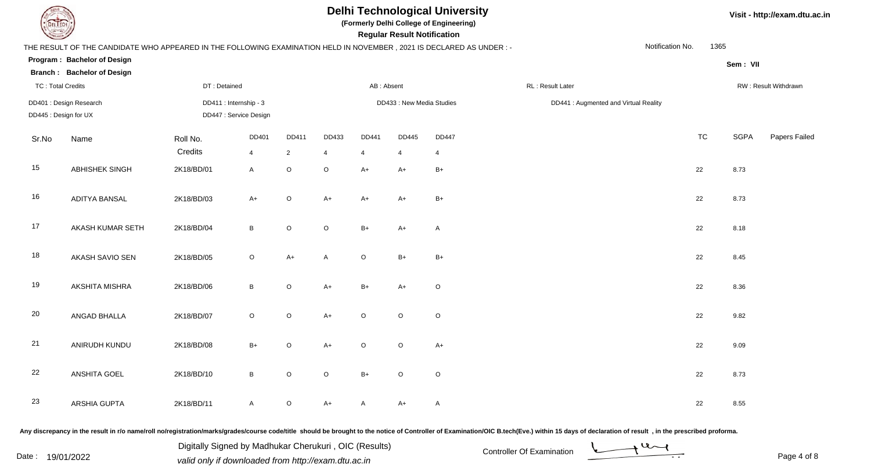

**(Formerly Delhi College of Engineering)**

 **Regular Result Notification**

#### **Visit - http://exam.dtu.ac.in**

| $\begin{picture}(220,20) \put(0,0){\dashbox{0.5}(20,0){ }} \put(15,0){\circle{10}} \put(15,0){\circle{10}} \put(15,0){\circle{10}} \put(15,0){\circle{10}} \put(15,0){\circle{10}} \put(15,0){\circle{10}} \put(15,0){\circle{10}} \put(15,0){\circle{10}} \put(15,0){\circle{10}} \put(15,0){\circle{10}} \put(15,0){\circle{10}} \put(15,0){\circle{10}} \put(15,0){\circle{10}} \put(15$ |                                                                                                                      |              |                        |                |                |                | Regular Result Notification |                |                  |                                       |                  |           |             |                      |
|---------------------------------------------------------------------------------------------------------------------------------------------------------------------------------------------------------------------------------------------------------------------------------------------------------------------------------------------------------------------------------------------|----------------------------------------------------------------------------------------------------------------------|--------------|------------------------|----------------|----------------|----------------|-----------------------------|----------------|------------------|---------------------------------------|------------------|-----------|-------------|----------------------|
|                                                                                                                                                                                                                                                                                                                                                                                             | THE RESULT OF THE CANDIDATE WHO APPEARED IN THE FOLLOWING EXAMINATION HELD IN NOVEMBER, 2021 IS DECLARED AS UNDER :- |              |                        |                |                |                |                             |                |                  |                                       | Notification No. | 1365      |             |                      |
|                                                                                                                                                                                                                                                                                                                                                                                             | Program: Bachelor of Design                                                                                          |              |                        |                |                |                |                             |                |                  |                                       |                  |           | Sem: VII    |                      |
|                                                                                                                                                                                                                                                                                                                                                                                             | <b>Branch: Bachelor of Design</b>                                                                                    |              |                        |                |                |                |                             |                |                  |                                       |                  |           |             |                      |
| <b>TC: Total Credits</b>                                                                                                                                                                                                                                                                                                                                                                    |                                                                                                                      | DT: Detained |                        |                |                | AB: Absent     |                             |                | RL: Result Later |                                       |                  |           |             | RW: Result Withdrawn |
|                                                                                                                                                                                                                                                                                                                                                                                             | DD401 : Design Research                                                                                              |              | DD411 : Internship - 3 |                |                |                | DD433 : New Media Studies   |                |                  | DD441 : Augmented and Virtual Reality |                  |           |             |                      |
| DD445 : Design for UX                                                                                                                                                                                                                                                                                                                                                                       |                                                                                                                      |              | DD447 : Service Design |                |                |                |                             |                |                  |                                       |                  |           |             |                      |
| Sr.No                                                                                                                                                                                                                                                                                                                                                                                       | Name                                                                                                                 | Roll No.     | DD401                  | DD411          | DD433          | <b>DD441</b>   | DD445                       | <b>DD447</b>   |                  |                                       |                  | <b>TC</b> | <b>SGPA</b> | Papers Failec        |
|                                                                                                                                                                                                                                                                                                                                                                                             |                                                                                                                      | Credits      | $\overline{4}$         | $\overline{2}$ | $\overline{4}$ | $\overline{4}$ | $\overline{4}$              | $\overline{4}$ |                  |                                       |                  |           |             |                      |
| 15                                                                                                                                                                                                                                                                                                                                                                                          | ABHISHEK SINGH                                                                                                       | 2K18/BD/01   | $\mathsf{A}$           | $\mathsf O$    | $\mathsf O$    | $A+$           | $A+$                        | $B+$           |                  |                                       |                  | 22        | 8.73        |                      |
| 16                                                                                                                                                                                                                                                                                                                                                                                          | <b>ADITYA BANSAL</b>                                                                                                 | 2K18/BD/03   | $A+$                   | $\circ$        | $A+$           | $A+$           | $A+$                        | $B+$           |                  |                                       |                  | 22        | 8.73        |                      |
| 17                                                                                                                                                                                                                                                                                                                                                                                          | AKASH KUMAR SETH                                                                                                     | 2K18/BD/04   | $\, {\sf B}$           | $\mathsf O$    | $\mathsf O$    | $B+$           | $A+$                        | Α              |                  |                                       |                  | 22        | 8.18        |                      |
| 18                                                                                                                                                                                                                                                                                                                                                                                          | AKASH SAVIO SEN                                                                                                      | 2K18/BD/05   | $\circ$                | $A+$           | A              | $\circ$        | $B+$                        | $B+$           |                  |                                       |                  | 22        | 8.45        |                      |
| 19                                                                                                                                                                                                                                                                                                                                                                                          | AKSHITA MISHRA                                                                                                       | 2K18/BD/06   | $\, {\bf B} \,$        | $\mathsf O$    | $A+$           | $B+$           | $A+$                        | $\circ$        |                  |                                       |                  | 22        | 8.36        |                      |
| 20                                                                                                                                                                                                                                                                                                                                                                                          | ANGAD BHALLA                                                                                                         | 2K18/BD/07   | $\circ$                | $\circ$        | $A+$           | $\circ$        | $\circ$                     | $\circ$        |                  |                                       |                  | 22        | 9.82        |                      |
| 21                                                                                                                                                                                                                                                                                                                                                                                          | ANIRUDH KUNDU                                                                                                        | 2K18/BD/08   | $B+$                   | $\circ$        | $A+$           | $\circ$        | $\mathsf O$                 | $A+$           |                  |                                       |                  | 22        | 9.09        |                      |
| 22                                                                                                                                                                                                                                                                                                                                                                                          | <b>ANSHITA GOEL</b>                                                                                                  | 2K18/BD/10   | $\, {\sf B}$           | $\circ$        | $\mathsf O$    | $B+$           | $\circ$                     | $\circ$        |                  |                                       |                  | 22        | 8.73        |                      |
| 23                                                                                                                                                                                                                                                                                                                                                                                          | ARSHIA GUPTA                                                                                                         | 2K18/BD/11   | $\mathsf{A}$           | $\circ$        | $A+$           | A              | $A+$                        | $\mathsf{A}$   |                  |                                       |                  | 22        | 8.55        |                      |
|                                                                                                                                                                                                                                                                                                                                                                                             |                                                                                                                      |              |                        |                |                |                |                             |                |                  |                                       |                  |           |             |                      |

Any discrepancy in the result in r/o name/roll no/registration/marks/grades/course code/title should be brought to the notice of Controller of Examination/OIC B.tech(Eve.) within 15 days of declaration of result, in the pr

Date : 19/01/2022 Valid only if downloaded from http://exam.dtu.ac.in<br>
Date : 19/01/2022 valid only if downloaded from http://exam.dtu.ac.in Digitally Signed by Madhukar Cherukuri , OIC (Results)

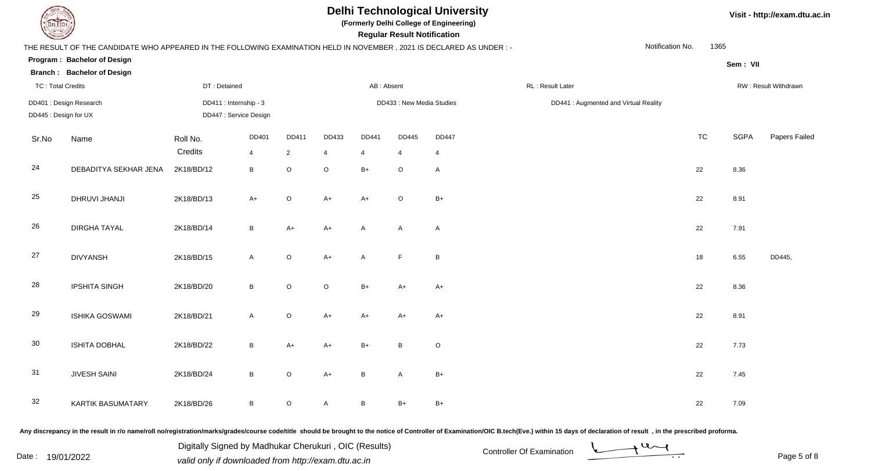

**(Formerly Delhi College of Engineering)**

|  | Visit - http://exam.dtu.ac.in |  |
|--|-------------------------------|--|
|--|-------------------------------|--|

| <b>Consulton Property</b> |                                                                                                                     |                     |                                                  |                      |                         |                         | <b>Regular Result Notification</b> |                                |                  |                                       |           |             |                      |
|---------------------------|---------------------------------------------------------------------------------------------------------------------|---------------------|--------------------------------------------------|----------------------|-------------------------|-------------------------|------------------------------------|--------------------------------|------------------|---------------------------------------|-----------|-------------|----------------------|
|                           | THE RESULT OF THE CANDIDATE WHO APPEARED IN THE FOLLOWING EXAMINATION HELD IN NOVEMBER, 2021 IS DECLARED AS UNDER:- |                     |                                                  |                      |                         |                         |                                    |                                |                  | Notification No.                      | 1365      |             |                      |
|                           | Program: Bachelor of Design                                                                                         |                     |                                                  |                      |                         |                         |                                    |                                |                  |                                       |           | Sem: VII    |                      |
|                           | <b>Branch: Bachelor of Design</b>                                                                                   |                     |                                                  |                      |                         |                         |                                    |                                |                  |                                       |           |             |                      |
| <b>TC: Total Credits</b>  |                                                                                                                     | DT: Detained        |                                                  |                      |                         | AB: Absent              |                                    |                                | RL: Result Later |                                       |           |             | RW: Result Withdrawn |
| DD445 : Design for UX     | DD401 : Design Research                                                                                             |                     | DD411 : Internship - 3<br>DD447 : Service Design |                      |                         |                         | DD433 : New Media Studies          |                                |                  | DD441 : Augmented and Virtual Reality |           |             |                      |
| Sr.No                     | Name                                                                                                                | Roll No.<br>Credits | DD401<br>$\overline{4}$                          | DD411<br>$2^{\circ}$ | DD433<br>$\overline{4}$ | DD441<br>$\overline{4}$ | <b>DD445</b><br>$\overline{4}$     | <b>DD447</b><br>$\overline{4}$ |                  |                                       | <b>TC</b> | <b>SGPA</b> | Papers Failed        |
| 24                        | DEBADITYA SEKHAR JENA                                                                                               | 2K18/BD/12          | B                                                | $\circ$              | $\circ$                 | $B+$                    | $\circ$                            | A                              |                  |                                       | 22        | 8.36        |                      |
| 25                        | DHRUVI JHANJI                                                                                                       | 2K18/BD/13          | $A+$                                             | $\circ$              | $A+$                    | $A+$                    | $\circ$                            | $B+$                           |                  |                                       | 22        | 8.91        |                      |
| 26                        | <b>DIRGHA TAYAL</b>                                                                                                 | 2K18/BD/14          | B                                                | $A+$                 | $A+$                    | A                       | A                                  | $\mathsf{A}$                   |                  |                                       | 22        | 7.91        |                      |
| 27                        | <b>DIVYANSH</b>                                                                                                     | 2K18/BD/15          | $\mathsf{A}$                                     | $\circ$              | $A+$                    | A                       | $\mathsf F$                        | $\, {\sf B}$                   |                  |                                       | 18        | 6.55        | DD445,               |
| 28                        | <b>IPSHITA SINGH</b>                                                                                                | 2K18/BD/20          | $\, {\bf B} \,$                                  | $\circ$              | $\mathsf O$             | $B+$                    | $A+$                               | $A+$                           |                  |                                       | 22        | 8.36        |                      |
| 29                        | <b>ISHIKA GOSWAMI</b>                                                                                               | 2K18/BD/21          | $\mathsf{A}$                                     | $\mathsf O$          | $A+$                    | $A+$                    | A+                                 | $A+$                           |                  |                                       | 22        | 8.91        |                      |
| 30                        | <b>ISHITA DOBHAL</b>                                                                                                | 2K18/BD/22          | B                                                | $A+$                 | $A+$                    | $B+$                    | B                                  | $\circ$                        |                  |                                       | 22        | 7.73        |                      |
| 31                        | JIVESH SAINI                                                                                                        | 2K18/BD/24          | $\, {\sf B}$                                     | $\circ$              | $A+$                    | $\sf B$                 | A                                  | $B+$                           |                  |                                       | 22        | 7.45        |                      |
| 32                        | <b>KARTIK BASUMATARY</b>                                                                                            | 2K18/BD/26          | $\, {\sf B}$                                     | $\circ$              | A                       | B                       | $B+$                               | $B+$                           |                  |                                       | 22        | 7.09        |                      |
|                           |                                                                                                                     |                     |                                                  |                      |                         |                         |                                    |                                |                  |                                       |           |             |                      |

Any discrepancy in the result in r/o name/roll no/registration/marks/grades/course code/title should be brought to the notice of Controller of Examination/OIC B.tech(Eve.) within 15 days of declaration of result, in the pr

Date : 19/01/2022 Valid only if downloaded from http://exam.dtu.ac.in<br>
Date : 19/01/2022 valid only if downloaded from http://exam.dtu.ac.in Digitally Signed by Madhukar Cherukuri , OIC (Results)

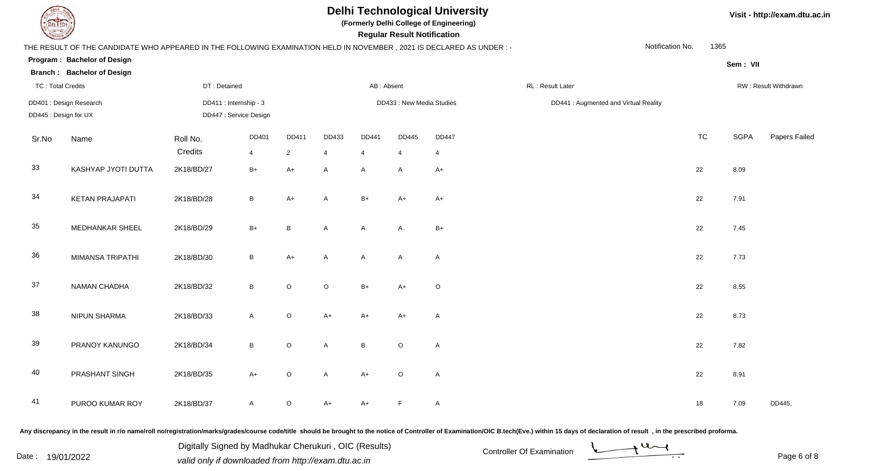

**(Formerly Delhi College of Engineering)**

|  | Visit - http://exam.dtu.ac.in |  |
|--|-------------------------------|--|
|--|-------------------------------|--|

| <b>Consultor of Persons</b> |                                                                                                                      |                                                  |                 |                |                |            | <b>Regular Result Notification</b> |              |                                       |                  |      |             |                      |
|-----------------------------|----------------------------------------------------------------------------------------------------------------------|--------------------------------------------------|-----------------|----------------|----------------|------------|------------------------------------|--------------|---------------------------------------|------------------|------|-------------|----------------------|
|                             | THE RESULT OF THE CANDIDATE WHO APPEARED IN THE FOLLOWING EXAMINATION HELD IN NOVEMBER, 2021 IS DECLARED AS UNDER :- |                                                  |                 |                |                |            |                                    |              |                                       | Notification No. | 1365 |             |                      |
|                             | Program: Bachelor of Design                                                                                          |                                                  |                 |                |                |            |                                    |              |                                       |                  |      | Sem: VII    |                      |
|                             | <b>Branch: Bachelor of Design</b>                                                                                    |                                                  |                 |                |                |            |                                    |              |                                       |                  |      |             |                      |
| <b>TC: Total Credits</b>    |                                                                                                                      | DT: Detained                                     |                 |                |                | AB: Absent |                                    |              | RL : Result Later                     |                  |      |             | RW: Result Withdrawn |
| DD445 : Design for UX       | DD401 : Design Research                                                                                              | DD411 : Internship - 3<br>DD447 : Service Design |                 |                |                |            | DD433 : New Media Studies          |              | DD441 : Augmented and Virtual Reality |                  |      |             |                      |
| Sr.No                       | Name                                                                                                                 | Roll No.                                         | DD401           | DD411          | DD433          | DD441      | DD445                              | <b>DD447</b> |                                       |                  | TC   | <b>SGPA</b> | Papers Failed        |
|                             |                                                                                                                      | Credits                                          | $\overline{4}$  | $\overline{2}$ | $\overline{4}$ | 4          | $\overline{4}$                     | 4            |                                       |                  |      |             |                      |
| 33                          | KASHYAP JYOTI DUTTA                                                                                                  | 2K18/BD/27                                       | $B+$            | $A+$           | A              | A          | A                                  | $A+$         |                                       |                  | 22   | 8.09        |                      |
| 34                          | <b>KETAN PRAJAPATI</b>                                                                                               | 2K18/BD/28                                       | $\sf B$         | $A+$           | Α              | $B+$       | $A+$                               | $A+$         |                                       |                  | 22   | 7.91        |                      |
| 35                          | MEDHANKAR SHEEL                                                                                                      | 2K18/BD/29                                       | $B+$            | $\, {\bf B}$   | A              | A          | A                                  | $B+$         |                                       |                  | 22   | 7.45        |                      |
| 36                          | MIMANSA TRIPATHI                                                                                                     | 2K18/BD/30                                       | $\, {\bf B} \,$ | $A+$           | A              | A          | A                                  | A            |                                       |                  | 22   | 7.73        |                      |
| 37                          | NAMAN CHADHA                                                                                                         | 2K18/BD/32                                       | B               | $\circ$        | $\circ$        | $B+$       | $A+$                               | $\mathsf O$  |                                       |                  | 22   | 8.55        |                      |
| 38                          | <b>NIPUN SHARMA</b>                                                                                                  | 2K18/BD/33                                       | A               | $\circ$        | $A+$           | $A+$       | $A+$                               | $\mathsf{A}$ |                                       |                  | 22   | 8.73        |                      |
| 39                          | PRANOY KANUNGO                                                                                                       | 2K18/BD/34                                       | $\, {\bf B} \,$ | $\circ$        | A              | $\sf B$    | $\circ$                            | A            |                                       |                  | 22   | 7.82        |                      |
| 40                          | PRASHANT SINGH                                                                                                       | 2K18/BD/35                                       | $A+$            | $\circ$        | A              | $A+$       | $\circ$                            | A            |                                       |                  | 22   | 8.91        |                      |
| 41                          | PUROO KUMAR ROY                                                                                                      | 2K18/BD/37                                       | A               | $\circ$        | $A+$           | A+         | F                                  | A            |                                       |                  | 18   | 7.09        | DD445,               |
|                             |                                                                                                                      |                                                  |                 |                |                |            |                                    |              |                                       |                  |      |             |                      |

Any discrepancy in the result in r/o name/roll no/registration/marks/grades/course code/title should be brought to the notice of Controller of Examination/OIC B.tech(Eve.) within 15 days of declaration of result, in the pr

Date : 19/01/2022 Valid only if downloaded from http://exam.dtu.ac.in<br>
Date : 19/01/2022 valid only if downloaded from http://exam.dtu.ac.in Digitally Signed by Madhukar Cherukuri , OIC (Results)

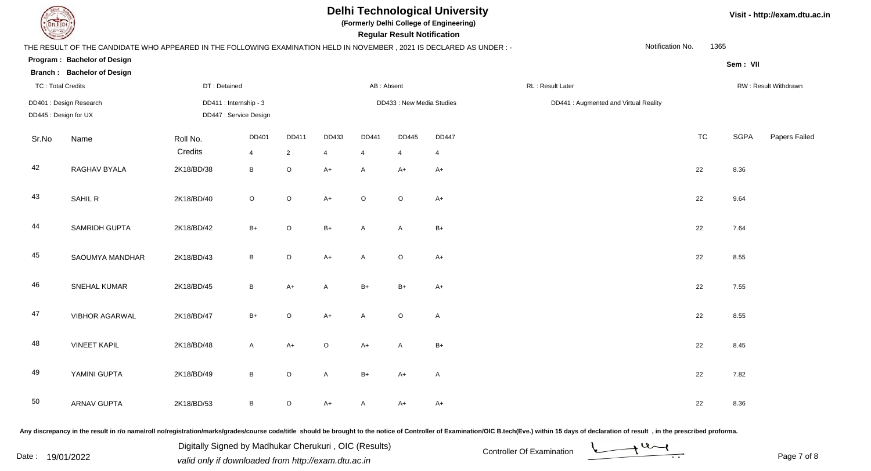

**(Formerly Delhi College of Engineering)**

**Regular Regular Results Notification** 

#### **Visit - http://exam.dtu.ac.in**

| <b>Courses I</b>                                 |                                                                                                                      |                                                  |                         |                         |                         |                         | <b>Regular Result Notification</b> |                   |  |                                       |                      |             |               |
|--------------------------------------------------|----------------------------------------------------------------------------------------------------------------------|--------------------------------------------------|-------------------------|-------------------------|-------------------------|-------------------------|------------------------------------|-------------------|--|---------------------------------------|----------------------|-------------|---------------|
|                                                  | THE RESULT OF THE CANDIDATE WHO APPEARED IN THE FOLLOWING EXAMINATION HELD IN NOVEMBER, 2021 IS DECLARED AS UNDER :- |                                                  |                         |                         |                         |                         |                                    |                   |  | Notification No.                      | 1365                 |             |               |
|                                                  | Program: Bachelor of Design                                                                                          |                                                  |                         |                         |                         |                         |                                    |                   |  |                                       |                      | Sem: VII    |               |
|                                                  | <b>Branch: Bachelor of Design</b>                                                                                    |                                                  |                         |                         |                         |                         |                                    |                   |  |                                       |                      |             |               |
| <b>TC: Total Credits</b>                         |                                                                                                                      | DT: Detained                                     |                         |                         | AB: Absent              |                         |                                    | RL: Result Later  |  |                                       | RW: Result Withdrawn |             |               |
| DD401 : Design Research<br>DD445 : Design for UX |                                                                                                                      | DD411 : Internship - 3<br>DD447 : Service Design |                         |                         |                         |                         | DD433 : New Media Studies          |                   |  | DD441 : Augmented and Virtual Reality |                      |             |               |
| Sr.No                                            | Name                                                                                                                 | Roll No.<br>Credits                              | DD401<br>$\overline{4}$ | DD411<br>$\overline{2}$ | DD433<br>$\overline{4}$ | DD441<br>$\overline{4}$ | DD445<br>4                         | <b>DD447</b><br>4 |  |                                       | <b>TC</b>            | <b>SGPA</b> | Papers Failec |
| 42                                               | RAGHAV BYALA                                                                                                         | 2K18/BD/38                                       | $\, {\bf B}$            | $\mathsf O$             | $A+$                    | A                       | $A+$                               | $A+$              |  |                                       | $22\,$               | 8.36        |               |
| 43                                               | SAHIL R                                                                                                              | 2K18/BD/40                                       | $\mathsf O$             | $\mathsf O$             | $A+$                    | $\mathsf O$             | $\mathsf O$                        | $A+$              |  |                                       | 22                   | 9.64        |               |
| 44                                               | SAMRIDH GUPTA                                                                                                        | 2K18/BD/42                                       | $B+$                    | $\circ$                 | $B+$                    | Α                       | A                                  | $B+$              |  |                                       | 22                   | 7.64        |               |
| 45                                               | SAOUMYA MANDHAR                                                                                                      | 2K18/BD/43                                       | $\, {\bf B}$            | $\mathsf O$             | $A+$                    | A                       | $\mathsf O$                        | $A+$              |  |                                       | 22                   | 8.55        |               |
| 46                                               | SNEHAL KUMAR                                                                                                         | 2K18/BD/45                                       | $\, {\sf B}$            | $A+$                    | A                       | $B+$                    | $B+$                               | $A+$              |  |                                       | 22                   | 7.55        |               |
| 47                                               | <b>VIBHOR AGARWAL</b>                                                                                                | 2K18/BD/47                                       | $B+$                    | $\circ$                 | $A+$                    | A                       | $\circ$                            | $\mathsf{A}$      |  |                                       | 22                   | 8.55        |               |
| 48                                               | <b>VINEET KAPIL</b>                                                                                                  | 2K18/BD/48                                       | $\mathsf{A}$            | $A+$                    | $\mathsf O$             | $A+$                    | A                                  | $B+$              |  |                                       | 22                   | 8.45        |               |
| 49                                               | YAMINI GUPTA                                                                                                         | 2K18/BD/49                                       | $\, {\bf B}$            | $\circ$                 | A                       | $B+$                    | $A+$                               | $\mathsf{A}$      |  |                                       | 22                   | 7.82        |               |
| 50                                               | <b>ARNAV GUPTA</b>                                                                                                   | 2K18/BD/53                                       | $\, {\bf B}$            | O                       | $A+$                    | A                       | $A+$                               | $A+$              |  |                                       | 22                   | 8.36        |               |
|                                                  |                                                                                                                      |                                                  |                         |                         |                         |                         |                                    |                   |  |                                       |                      |             |               |

Any discrepancy in the result in r/o name/roll no/registration/marks/grades/course code/title should be brought to the notice of Controller of Examination/OIC B.tech(Eve.) within 15 days of declaration of result, in the pr

Digitally Signed by Madhukar Cherukuri, OIC (Results)<br>Date : 19/01/2022 valid only if downloaded from http://oxam.dtu.ac.in Digitally Signed by Madhukar Cherukuri , OIC (Results)valid only if downloaded from http://exam.dtu.ac.in